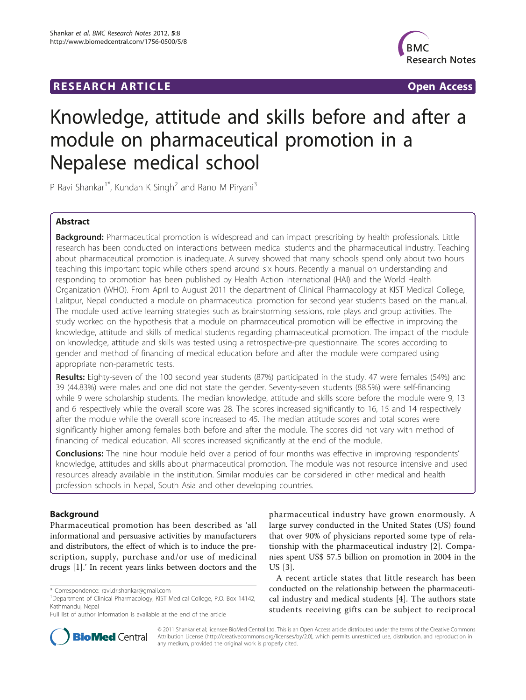## **RESEARCH ARTICLE Example 2018 CONSIDERING ACCESS**



# Knowledge, attitude and skills before and after a module on pharmaceutical promotion in a Nepalese medical school

P Ravi Shankar<sup>1\*</sup>, Kundan K Singh<sup>2</sup> and Rano M Pirvani<sup>3</sup>

## Abstract

Background: Pharmaceutical promotion is widespread and can impact prescribing by health professionals. Little research has been conducted on interactions between medical students and the pharmaceutical industry. Teaching about pharmaceutical promotion is inadequate. A survey showed that many schools spend only about two hours teaching this important topic while others spend around six hours. Recently a manual on understanding and responding to promotion has been published by Health Action International (HAI) and the World Health Organization (WHO). From April to August 2011 the department of Clinical Pharmacology at KIST Medical College, Lalitpur, Nepal conducted a module on pharmaceutical promotion for second year students based on the manual. The module used active learning strategies such as brainstorming sessions, role plays and group activities. The study worked on the hypothesis that a module on pharmaceutical promotion will be effective in improving the knowledge, attitude and skills of medical students regarding pharmaceutical promotion. The impact of the module on knowledge, attitude and skills was tested using a retrospective-pre questionnaire. The scores according to gender and method of financing of medical education before and after the module were compared using appropriate non-parametric tests.

Results: Eighty-seven of the 100 second year students (87%) participated in the study. 47 were females (54%) and 39 (44.83%) were males and one did not state the gender. Seventy-seven students (88.5%) were self-financing while 9 were scholarship students. The median knowledge, attitude and skills score before the module were 9, 13 and 6 respectively while the overall score was 28. The scores increased significantly to 16, 15 and 14 respectively after the module while the overall score increased to 45. The median attitude scores and total scores were significantly higher among females both before and after the module. The scores did not vary with method of financing of medical education. All scores increased significantly at the end of the module.

**Conclusions:** The nine hour module held over a period of four months was effective in improving respondents' knowledge, attitudes and skills about pharmaceutical promotion. The module was not resource intensive and used resources already available in the institution. Similar modules can be considered in other medical and health profession schools in Nepal, South Asia and other developing countries.

## Background

Pharmaceutical promotion has been described as 'all informational and persuasive activities by manufacturers and distributors, the effect of which is to induce the prescription, supply, purchase and/or use of medicinal drugs [[1\]](#page-5-0).' In recent years links between doctors and the



A recent article states that little research has been conducted on the relationship between the pharmaceutical industry and medical students [[4\]](#page-5-0). The authors state students receiving gifts can be subject to reciprocal



© 2011 Shankar et al; licensee BioMed Central Ltd. This is an Open Access article distributed under the terms of the Creative Commons Attribution License [\(http://creativecommons.org/licenses/by/2.0](http://creativecommons.org/licenses/by/2.0)), which permits unrestricted use, distribution, and reproduction in any medium, provided the original work is properly cited.

<sup>\*</sup> Correspondence: [ravi.dr.shankar@gmail.com](mailto:ravi.dr.shankar@gmail.com)

<sup>&</sup>lt;sup>1</sup>Department of Clinical Pharmacology, KIST Medical College, P.O. Box 14142, Kathmandu, Nepal

Full list of author information is available at the end of the article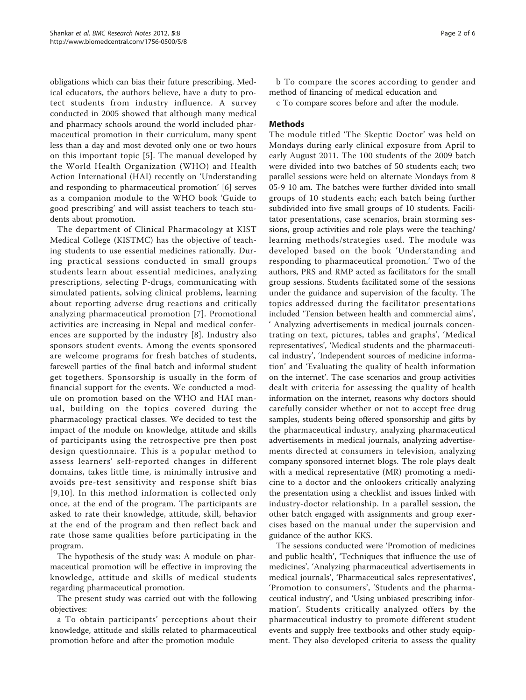obligations which can bias their future prescribing. Medical educators, the authors believe, have a duty to protect students from industry influence. A survey conducted in 2005 showed that although many medical and pharmacy schools around the world included pharmaceutical promotion in their curriculum, many spent less than a day and most devoted only one or two hours on this important topic [[5](#page-5-0)]. The manual developed by the World Health Organization (WHO) and Health Action International (HAI) recently on 'Understanding and responding to pharmaceutical promotion' [\[6](#page-5-0)] serves as a companion module to the WHO book 'Guide to good prescribing' and will assist teachers to teach students about promotion.

The department of Clinical Pharmacology at KIST Medical College (KISTMC) has the objective of teaching students to use essential medicines rationally. During practical sessions conducted in small groups students learn about essential medicines, analyzing prescriptions, selecting P-drugs, communicating with simulated patients, solving clinical problems, learning about reporting adverse drug reactions and critically analyzing pharmaceutical promotion [[7\]](#page-5-0). Promotional activities are increasing in Nepal and medical conferences are supported by the industry [[8](#page-5-0)]. Industry also sponsors student events. Among the events sponsored are welcome programs for fresh batches of students, farewell parties of the final batch and informal student get togethers. Sponsorship is usually in the form of financial support for the events. We conducted a module on promotion based on the WHO and HAI manual, building on the topics covered during the pharmacology practical classes. We decided to test the impact of the module on knowledge, attitude and skills of participants using the retrospective pre then post design questionnaire. This is a popular method to assess learners' self-reported changes in different domains, takes little time, is minimally intrusive and avoids pre-test sensitivity and response shift bias [[9,10\]](#page-5-0). In this method information is collected only once, at the end of the program. The participants are asked to rate their knowledge, attitude, skill, behavior at the end of the program and then reflect back and rate those same qualities before participating in the program.

The hypothesis of the study was: A module on pharmaceutical promotion will be effective in improving the knowledge, attitude and skills of medical students regarding pharmaceutical promotion.

The present study was carried out with the following objectives:

a To obtain participants' perceptions about their knowledge, attitude and skills related to pharmaceutical promotion before and after the promotion module

b To compare the scores according to gender and method of financing of medical education and

c To compare scores before and after the module.

## Methods

The module titled 'The Skeptic Doctor' was held on Mondays during early clinical exposure from April to early August 2011. The 100 students of the 2009 batch were divided into two batches of 50 students each; two parallel sessions were held on alternate Mondays from 8 05-9 10 am. The batches were further divided into small groups of 10 students each; each batch being further subdivided into five small groups of 10 students. Facilitator presentations, case scenarios, brain storming sessions, group activities and role plays were the teaching/ learning methods/strategies used. The module was developed based on the book 'Understanding and responding to pharmaceutical promotion.' Two of the authors, PRS and RMP acted as facilitators for the small group sessions. Students facilitated some of the sessions under the guidance and supervision of the faculty. The topics addressed during the facilitator presentations included 'Tension between health and commercial aims', ' Analyzing advertisements in medical journals concentrating on text, pictures, tables and graphs', 'Medical representatives', 'Medical students and the pharmaceutical industry', 'Independent sources of medicine information' and 'Evaluating the quality of health information on the internet'. The case scenarios and group activities dealt with criteria for assessing the quality of health information on the internet, reasons why doctors should carefully consider whether or not to accept free drug samples, students being offered sponsorship and gifts by the pharmaceutical industry, analyzing pharmaceutical advertisements in medical journals, analyzing advertisements directed at consumers in television, analyzing company sponsored internet blogs. The role plays dealt with a medical representative (MR) promoting a medicine to a doctor and the onlookers critically analyzing the presentation using a checklist and issues linked with industry-doctor relationship. In a parallel session, the other batch engaged with assignments and group exercises based on the manual under the supervision and guidance of the author KKS.

The sessions conducted were 'Promotion of medicines and public health', 'Techniques that influence the use of medicines', 'Analyzing pharmaceutical advertisements in medical journals', 'Pharmaceutical sales representatives', 'Promotion to consumers', 'Students and the pharmaceutical industry', and 'Using unbiased prescribing information'. Students critically analyzed offers by the pharmaceutical industry to promote different student events and supply free textbooks and other study equipment. They also developed criteria to assess the quality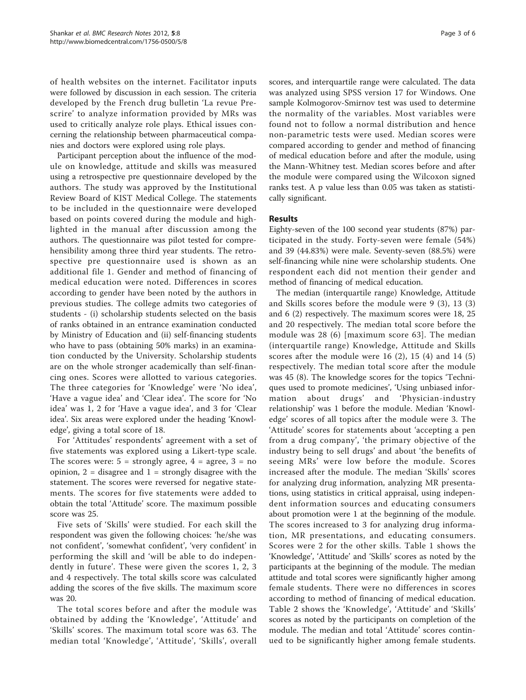of health websites on the internet. Facilitator inputs were followed by discussion in each session. The criteria developed by the French drug bulletin 'La revue Prescrire' to analyze information provided by MRs was used to critically analyze role plays. Ethical issues concerning the relationship between pharmaceutical companies and doctors were explored using role plays.

Participant perception about the influence of the module on knowledge, attitude and skills was measured using a retrospective pre questionnaire developed by the authors. The study was approved by the Institutional Review Board of KIST Medical College. The statements to be included in the questionnaire were developed based on points covered during the module and highlighted in the manual after discussion among the authors. The questionnaire was pilot tested for comprehensibility among three third year students. The retrospective pre questionnaire used is shown as an additional file [1.](#page-5-0) Gender and method of financing of medical education were noted. Differences in scores according to gender have been noted by the authors in previous studies. The college admits two categories of students - (i) scholarship students selected on the basis of ranks obtained in an entrance examination conducted by Ministry of Education and (ii) self-financing students who have to pass (obtaining 50% marks) in an examination conducted by the University. Scholarship students are on the whole stronger academically than self-financing ones. Scores were allotted to various categories. The three categories for 'Knowledge' were 'No idea', 'Have a vague idea' and 'Clear idea'. The score for 'No idea' was 1, 2 for 'Have a vague idea', and 3 for 'Clear idea'. Six areas were explored under the heading 'Knowledge', giving a total score of 18.

For 'Attitudes' respondents' agreement with a set of five statements was explored using a Likert-type scale. The scores were:  $5 =$  strongly agree,  $4 =$  agree,  $3 =$  no opinion,  $2 =$  disagree and  $1 =$  strongly disagree with the statement. The scores were reversed for negative statements. The scores for five statements were added to obtain the total 'Attitude' score. The maximum possible score was 25.

Five sets of 'Skills' were studied. For each skill the respondent was given the following choices: 'he/she was not confident', 'somewhat confident', 'very confident' in performing the skill and 'will be able to do independently in future'. These were given the scores 1, 2, 3 and 4 respectively. The total skills score was calculated adding the scores of the five skills. The maximum score was 20.

The total scores before and after the module was obtained by adding the 'Knowledge', 'Attitude' and 'Skills' scores. The maximum total score was 63. The median total 'Knowledge', 'Attitude', 'Skills', overall scores, and interquartile range were calculated. The data was analyzed using SPSS version 17 for Windows. One sample Kolmogorov-Smirnov test was used to determine the normality of the variables. Most variables were found not to follow a normal distribution and hence non-parametric tests were used. Median scores were compared according to gender and method of financing of medical education before and after the module, using the Mann-Whitney test. Median scores before and after the module were compared using the Wilcoxon signed ranks test. A p value less than 0.05 was taken as statistically significant.

## Results

Eighty-seven of the 100 second year students (87%) participated in the study. Forty-seven were female (54%) and 39 (44.83%) were male. Seventy-seven (88.5%) were self-financing while nine were scholarship students. One respondent each did not mention their gender and method of financing of medical education.

The median (interquartile range) Knowledge, Attitude and Skills scores before the module were 9 (3), 13 (3) and 6 (2) respectively. The maximum scores were 18, 25 and 20 respectively. The median total score before the module was 28 (6) [maximum score 63]. The median (interquartile range) Knowledge, Attitude and Skills scores after the module were  $16(2)$ ,  $15(4)$  and  $14(5)$ respectively. The median total score after the module was 45 (8). The knowledge scores for the topics 'Techniques used to promote medicines', 'Using unbiased information about drugs' and 'Physician-industry relationship' was 1 before the module. Median 'Knowledge' scores of all topics after the module were 3. The 'Attitude' scores for statements about 'accepting a pen from a drug company', 'the primary objective of the industry being to sell drugs' and about 'the benefits of seeing MRs' were low before the module. Scores increased after the module. The median 'Skills' scores for analyzing drug information, analyzing MR presentations, using statistics in critical appraisal, using independent information sources and educating consumers about promotion were 1 at the beginning of the module. The scores increased to 3 for analyzing drug information, MR presentations, and educating consumers. Scores were 2 for the other skills. Table [1](#page-3-0) shows the 'Knowledge', 'Attitude' and 'Skills' scores as noted by the participants at the beginning of the module. The median attitude and total scores were significantly higher among female students. There were no differences in scores according to method of financing of medical education. Table [2](#page-3-0) shows the 'Knowledge', 'Attitude' and 'Skills' scores as noted by the participants on completion of the module. The median and total 'Attitude' scores continued to be significantly higher among female students.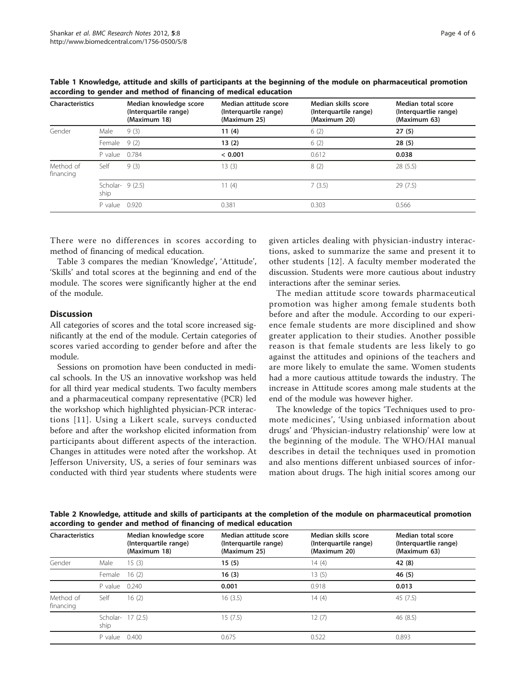| <b>Characteristics</b> |                           | Median knowledge score<br>(Interquartile range)<br>(Maximum 18) | Median attitude score<br>(Interquartile range)<br>(Maximum 25) | Median skills score<br>(Interquartile range)<br>(Maximum 20) | Median total score<br>(Interquartlie range)<br>(Maximum 63) |
|------------------------|---------------------------|-----------------------------------------------------------------|----------------------------------------------------------------|--------------------------------------------------------------|-------------------------------------------------------------|
| Gender                 | Male                      | 9(3)                                                            | 11(4)                                                          | 6(2)                                                         | 27(5)                                                       |
|                        | Female $9(2)$             |                                                                 | 13(2)                                                          | 6(2)                                                         | 28(5)                                                       |
|                        | P value 0.784             |                                                                 | < 0.001                                                        | 0.612                                                        | 0.038                                                       |
| Method of<br>financing | Self                      | 9(3)                                                            | 13(3)                                                          | 8(2)                                                         | 28(5.5)                                                     |
|                        | Scholar- $9(2.5)$<br>ship |                                                                 | 11(4)                                                          | 7(3.5)                                                       | 29(7.5)                                                     |
|                        | P value $0.920$           |                                                                 | 0.381                                                          | 0.303                                                        | 0.566                                                       |

<span id="page-3-0"></span>Table 1 Knowledge, attitude and skills of participants at the beginning of the module on pharmaceutical promotion according to gender and method of financing of medical education

There were no differences in scores according to method of financing of medical education.

Table [3](#page-4-0) compares the median 'Knowledge', 'Attitude', 'Skills' and total scores at the beginning and end of the module. The scores were significantly higher at the end of the module.

### Discussion

All categories of scores and the total score increased significantly at the end of the module. Certain categories of scores varied according to gender before and after the module.

Sessions on promotion have been conducted in medical schools. In the US an innovative workshop was held for all third year medical students. Two faculty members and a pharmaceutical company representative (PCR) led the workshop which highlighted physician-PCR interactions [[11\]](#page-5-0). Using a Likert scale, surveys conducted before and after the workshop elicited information from participants about different aspects of the interaction. Changes in attitudes were noted after the workshop. At Jefferson University, US, a series of four seminars was conducted with third year students where students were given articles dealing with physician-industry interactions, asked to summarize the same and present it to other students [[12\]](#page-5-0). A faculty member moderated the discussion. Students were more cautious about industry interactions after the seminar series.

The median attitude score towards pharmaceutical promotion was higher among female students both before and after the module. According to our experience female students are more disciplined and show greater application to their studies. Another possible reason is that female students are less likely to go against the attitudes and opinions of the teachers and are more likely to emulate the same. Women students had a more cautious attitude towards the industry. The increase in Attitude scores among male students at the end of the module was however higher.

The knowledge of the topics 'Techniques used to promote medicines', 'Using unbiased information about drugs' and 'Physician-industry relationship' were low at the beginning of the module. The WHO/HAI manual describes in detail the techniques used in promotion and also mentions different unbiased sources of information about drugs. The high initial scores among our

| according to gender and method of financing of medical education |                 |                                                                 |                                                                |                                                              |                                                             |  |  |  |  |
|------------------------------------------------------------------|-----------------|-----------------------------------------------------------------|----------------------------------------------------------------|--------------------------------------------------------------|-------------------------------------------------------------|--|--|--|--|
| <b>Characteristics</b>                                           |                 | Median knowledge score<br>(Interguartile range)<br>(Maximum 18) | Median attitude score<br>(Interguartile range)<br>(Maximum 25) | Median skills score<br>(Interguartile range)<br>(Maximum 20) | Median total score<br>(Interguartlie range)<br>(Maximum 63) |  |  |  |  |
| Gender                                                           | Male            | 15(3)                                                           | 15(5)                                                          | 14(4)                                                        | 42 (8)                                                      |  |  |  |  |
|                                                                  | Female          | 16(2)                                                           | 16(3)                                                          | 13 (5)                                                       | 46 (5)                                                      |  |  |  |  |
|                                                                  | P value $0.240$ |                                                                 | 0.001                                                          | 0.918                                                        | 0.013                                                       |  |  |  |  |
| Method of<br>financing                                           | Self            | 16(2)                                                           | 16(3.5)                                                        | 14(4)                                                        | 45(7.5)                                                     |  |  |  |  |
|                                                                  | ship            | Scholar- 17 (2.5)                                               | 15(7.5)                                                        | 12(7)                                                        | 46(8.5)                                                     |  |  |  |  |
|                                                                  | P value 0.400   |                                                                 | 0.675                                                          | 0.522                                                        | 0.893                                                       |  |  |  |  |

Table 2 Knowledge, attitude and skills of participants at the completion of the module on pharmaceutical promotion according to gender and method of financing of medical education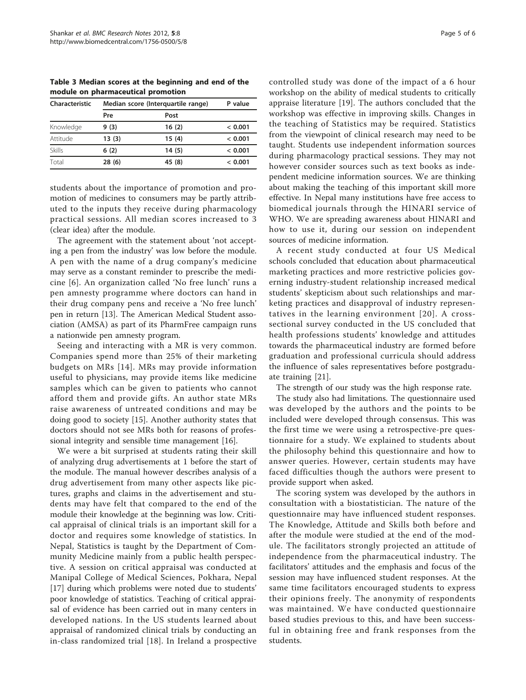<span id="page-4-0"></span>Table 3 Median scores at the beginning and end of the module on pharmaceutical promotion

| Characteristic | Median score (Interguartile range) | P value |         |
|----------------|------------------------------------|---------|---------|
|                | Pre                                | Post    |         |
| Knowledge      | 9(3)                               | 16(2)   | < 0.001 |
| Attitude       | 13(3)                              | 15(4)   | < 0.001 |
| Skills         | 6(2)                               | 14 (5)  | < 0.001 |
| Total          | 28 (6)                             | 45 (8)  | < 0.001 |

students about the importance of promotion and promotion of medicines to consumers may be partly attributed to the inputs they receive during pharmacology practical sessions. All median scores increased to 3 (clear idea) after the module.

The agreement with the statement about 'not accepting a pen from the industry' was low before the module. A pen with the name of a drug company's medicine may serve as a constant reminder to prescribe the medicine [[6](#page-5-0)]. An organization called 'No free lunch' runs a pen amnesty programme where doctors can hand in their drug company pens and receive a 'No free lunch' pen in return [\[13](#page-5-0)]. The American Medical Student association (AMSA) as part of its PharmFree campaign runs a nationwide pen amnesty program.

Seeing and interacting with a MR is very common. Companies spend more than 25% of their marketing budgets on MRs [\[14](#page-5-0)]. MRs may provide information useful to physicians, may provide items like medicine samples which can be given to patients who cannot afford them and provide gifts. An author state MRs raise awareness of untreated conditions and may be doing good to society [\[15](#page-5-0)]. Another authority states that doctors should not see MRs both for reasons of professional integrity and sensible time management [\[16](#page-5-0)].

We were a bit surprised at students rating their skill of analyzing drug advertisements at 1 before the start of the module. The manual however describes analysis of a drug advertisement from many other aspects like pictures, graphs and claims in the advertisement and students may have felt that compared to the end of the module their knowledge at the beginning was low. Critical appraisal of clinical trials is an important skill for a doctor and requires some knowledge of statistics. In Nepal, Statistics is taught by the Department of Community Medicine mainly from a public health perspective. A session on critical appraisal was conducted at Manipal College of Medical Sciences, Pokhara, Nepal [[17\]](#page-5-0) during which problems were noted due to students' poor knowledge of statistics. Teaching of critical appraisal of evidence has been carried out in many centers in developed nations. In the US students learned about appraisal of randomized clinical trials by conducting an in-class randomized trial [\[18](#page-5-0)]. In Ireland a prospective controlled study was done of the impact of a 6 hour workshop on the ability of medical students to critically appraise literature [[19\]](#page-5-0). The authors concluded that the workshop was effective in improving skills. Changes in the teaching of Statistics may be required. Statistics from the viewpoint of clinical research may need to be taught. Students use independent information sources during pharmacology practical sessions. They may not however consider sources such as text books as independent medicine information sources. We are thinking about making the teaching of this important skill more effective. In Nepal many institutions have free access to biomedical journals through the HINARI service of WHO. We are spreading awareness about HINARI and

sources of medicine information. A recent study conducted at four US Medical schools concluded that education about pharmaceutical marketing practices and more restrictive policies governing industry-student relationship increased medical students' skepticism about such relationships and marketing practices and disapproval of industry representatives in the learning environment [[20](#page-5-0)]. A crosssectional survey conducted in the US concluded that health professions students' knowledge and attitudes towards the pharmaceutical industry are formed before graduation and professional curricula should address the influence of sales representatives before postgraduate training [\[21](#page-5-0)].

how to use it, during our session on independent

The strength of our study was the high response rate.

The study also had limitations. The questionnaire used was developed by the authors and the points to be included were developed through consensus. This was the first time we were using a retrospective-pre questionnaire for a study. We explained to students about the philosophy behind this questionnaire and how to answer queries. However, certain students may have faced difficulties though the authors were present to provide support when asked.

The scoring system was developed by the authors in consultation with a biostatistician. The nature of the questionnaire may have influenced student responses. The Knowledge, Attitude and Skills both before and after the module were studied at the end of the module. The facilitators strongly projected an attitude of independence from the pharmaceutical industry. The facilitators' attitudes and the emphasis and focus of the session may have influenced student responses. At the same time facilitators encouraged students to express their opinions freely. The anonymity of respondents was maintained. We have conducted questionnaire based studies previous to this, and have been successful in obtaining free and frank responses from the students.